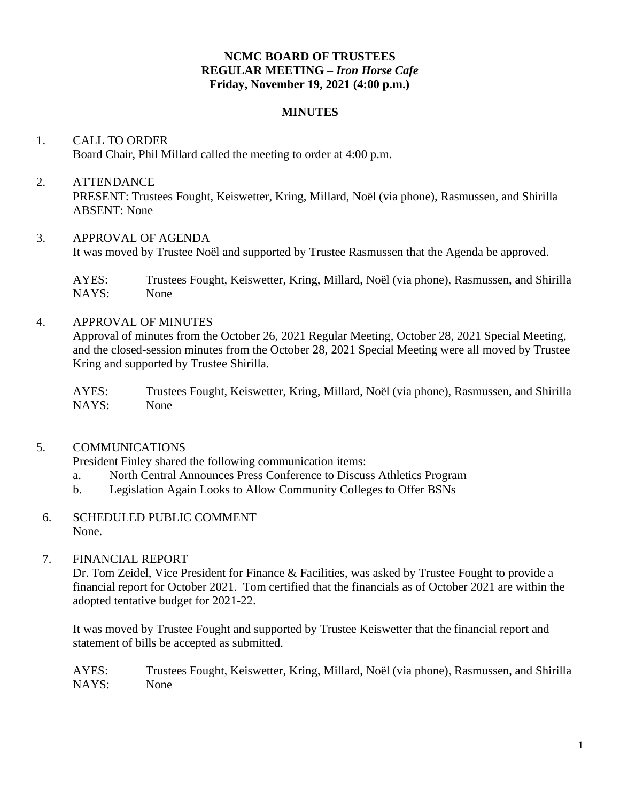## **NCMC BOARD OF TRUSTEES REGULAR MEETING –** *Iron Horse Cafe* **Friday, November 19, 2021 (4:00 p.m.)**

#### **MINUTES**

## 1. CALL TO ORDER Board Chair, Phil Millard called the meeting to order at 4:00 p.m.

## 2. ATTENDANCE PRESENT: Trustees Fought, Keiswetter, Kring, Millard, Noël (via phone), Rasmussen, and Shirilla ABSENT: None

## 3. APPROVAL OF AGENDA

It was moved by Trustee Noël and supported by Trustee Rasmussen that the Agenda be approved.

AYES: Trustees Fought, Keiswetter, Kring, Millard, Noël (via phone), Rasmussen, and Shirilla NAYS: None

#### 4. APPROVAL OF MINUTES

Approval of minutes from the October 26, 2021 Regular Meeting, October 28, 2021 Special Meeting, and the closed-session minutes from the October 28, 2021 Special Meeting were all moved by Trustee Kring and supported by Trustee Shirilla.

AYES: Trustees Fought, Keiswetter, Kring, Millard, Noël (via phone), Rasmussen, and Shirilla NAYS: None

## 5. COMMUNICATIONS

President Finley shared the following communication items:

- a. North Central Announces Press Conference to Discuss Athletics Program
- b. Legislation Again Looks to Allow Community Colleges to Offer BSNs
- 6. SCHEDULED PUBLIC COMMENT None.

## 7. FINANCIAL REPORT

Dr. Tom Zeidel, Vice President for Finance & Facilities, was asked by Trustee Fought to provide a financial report for October 2021. Tom certified that the financials as of October 2021 are within the adopted tentative budget for 2021-22.

It was moved by Trustee Fought and supported by Trustee Keiswetter that the financial report and statement of bills be accepted as submitted.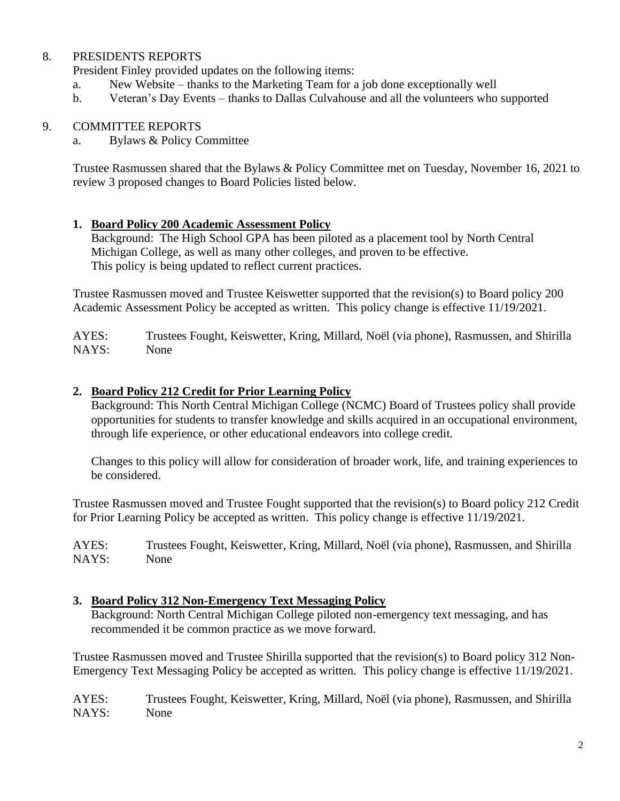## 8. PRESIDENTS REPORTS

President Finley provided updates on the following items:

- a. New Website thanks to the Marketing Team for a job done exceptionally well
- b. Veteran's Day Events thanks to Dallas Culvahouse and all the volunteers who supported

## 9. COMMITTEE REPORTS

a. Bylaws & Policy Committee

Trustee Rasmussen shared that the Bylaws & Policy Committee met on Tuesday, November 16, 2021 to review 3 proposed changes to Board Policies listed below.

## **1. Board Policy 200 Academic Assessment Policy**

Background: The High School GPA has been piloted as a placement tool by North Central Michigan College, as well as many other colleges, and proven to be effective. This policy is being updated to reflect current practices.

Trustee Rasmussen moved and Trustee Keiswetter supported that the revision(s) to Board policy 200 Academic Assessment Policy be accepted as written. This policy change is effective 11/19/2021.

AYES: Trustees Fought, Keiswetter, Kring, Millard, Noël (via phone), Rasmussen, and Shirilla NAYS: None

## **2. Board Policy 212 Credit for Prior Learning Policy**

Background: This North Central Michigan College (NCMC) Board of Trustees policy shall provide opportunities for students to transfer knowledge and skills acquired in an occupational environment, through life experience, or other educational endeavors into college credit.

Changes to this policy will allow for consideration of broader work, life, and training experiences to be considered.

Trustee Rasmussen moved and Trustee Fought supported that the revision(s) to Board policy 212 Credit for Prior Learning Policy be accepted as written. This policy change is effective 11/19/2021.

AYES: Trustees Fought, Keiswetter, Kring, Millard, Noël (via phone), Rasmussen, and Shirilla NAYS: None

## **3. Board Policy 312 Non-Emergency Text Messaging Policy**

Background: North Central Michigan College piloted non-emergency text messaging, and has recommended it be common practice as we move forward.

Trustee Rasmussen moved and Trustee Shirilla supported that the revision(s) to Board policy 312 Non-Emergency Text Messaging Policy be accepted as written. This policy change is effective 11/19/2021.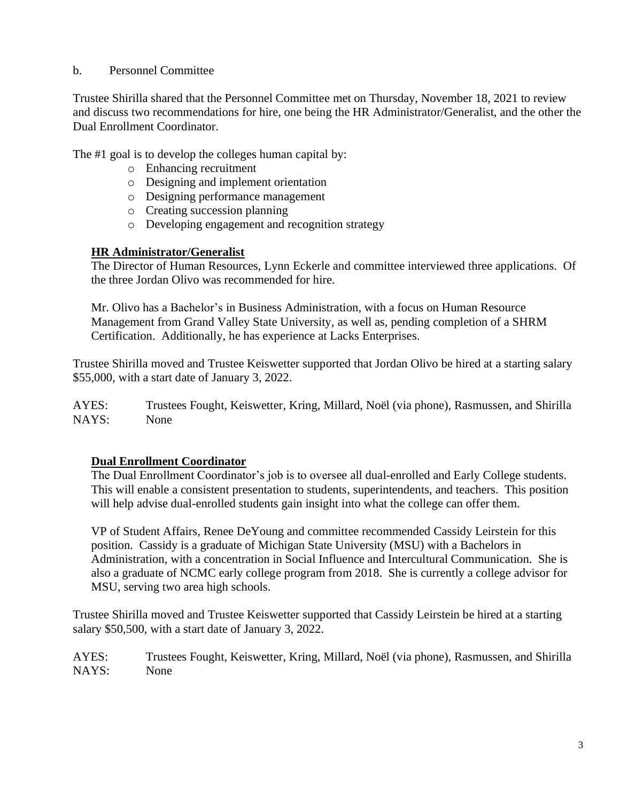## b. Personnel Committee

Trustee Shirilla shared that the Personnel Committee met on Thursday, November 18, 2021 to review and discuss two recommendations for hire, one being the HR Administrator/Generalist, and the other the Dual Enrollment Coordinator.

The #1 goal is to develop the colleges human capital by:

- o Enhancing recruitment
- o Designing and implement orientation
- o Designing performance management
- o Creating succession planning
- o Developing engagement and recognition strategy

#### **HR Administrator/Generalist**

The Director of Human Resources, Lynn Eckerle and committee interviewed three applications. Of the three Jordan Olivo was recommended for hire.

Mr. Olivo has a Bachelor's in Business Administration, with a focus on Human Resource Management from Grand Valley State University, as well as, pending completion of a SHRM Certification. Additionally, he has experience at Lacks Enterprises.

Trustee Shirilla moved and Trustee Keiswetter supported that Jordan Olivo be hired at a starting salary \$55,000, with a start date of January 3, 2022.

AYES: Trustees Fought, Keiswetter, Kring, Millard, Noël (via phone), Rasmussen, and Shirilla NAYS: None

## **Dual Enrollment Coordinator**

The Dual Enrollment Coordinator's job is to oversee all dual-enrolled and Early College students. This will enable a consistent presentation to students, superintendents, and teachers. This position will help advise dual-enrolled students gain insight into what the college can offer them.

VP of Student Affairs, Renee DeYoung and committee recommended Cassidy Leirstein for this position. Cassidy is a graduate of Michigan State University (MSU) with a Bachelors in Administration, with a concentration in Social Influence and Intercultural Communication. She is also a graduate of NCMC early college program from 2018. She is currently a college advisor for MSU, serving two area high schools.

Trustee Shirilla moved and Trustee Keiswetter supported that Cassidy Leirstein be hired at a starting salary \$50,500, with a start date of January 3, 2022.